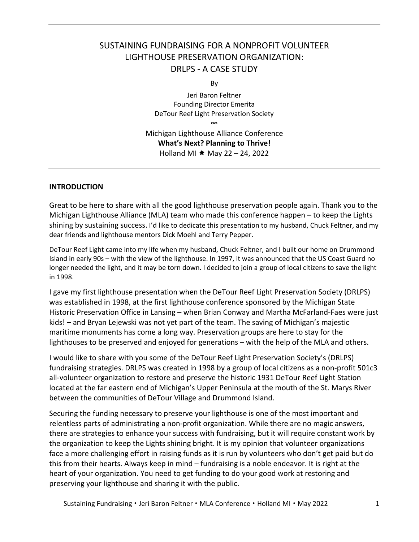# SUSTAINING FUNDRAISING FOR A NONPROFIT VOLUNTEER LIGHTHOUSE PRESERVATION ORGANIZATION: DRLPS - A CASE STUDY

By

Jeri Baron Feltner Founding Director Emerita DeTour Reef Light Preservation Society

∞ Michigan Lighthouse Alliance Conference **What's Next? Planning to Thrive!** Holland MI  $\star$  May 22 – 24, 2022

### **INTRODUCTION**

Great to be here to share with all the good lighthouse preservation people again. Thank you to the Michigan Lighthouse Alliance (MLA) team who made this conference happen – to keep the Lights shining by sustaining success. I'd like to dedicate this presentation to my husband, Chuck Feltner, and my dear friends and lighthouse mentors Dick Moehl and Terry Pepper.

DeTour Reef Light came into my life when my husband, Chuck Feltner, and I built our home on Drummond Island in early 90s – with the view of the lighthouse. In 1997, it was announced that the US Coast Guard no longer needed the light, and it may be torn down. I decided to join a group of local citizens to save the light in 1998.

I gave my first lighthouse presentation when the DeTour Reef Light Preservation Society (DRLPS) was established in 1998, at the first lighthouse conference sponsored by the Michigan State Historic Preservation Office in Lansing – when Brian Conway and Martha McFarland-Faes were just kids! – and Bryan Lejewski was not yet part of the team. The saving of Michigan's majestic maritime monuments has come a long way. Preservation groups are here to stay for the lighthouses to be preserved and enjoyed for generations – with the help of the MLA and others.

I would like to share with you some of the DeTour Reef Light Preservation Society's (DRLPS) fundraising strategies. DRLPS was created in 1998 by a group of local citizens as a non-profit 501c3 all-volunteer organization to restore and preserve the historic 1931 DeTour Reef Light Station located at the far eastern end of Michigan's Upper Peninsula at the mouth of the St. Marys River between the communities of DeTour Village and Drummond Island.

Securing the funding necessary to preserve your lighthouse is one of the most important and relentless parts of administrating a non-profit organization. While there are no magic answers, there are strategies to enhance your success with fundraising, but it will require constant work by the organization to keep the Lights shining bright. It is my opinion that volunteer organizations face a more challenging effort in raising funds as it is run by volunteers who don't get paid but do this from their hearts. Always keep in mind – fundraising is a noble endeavor. It is right at the heart of your organization. You need to get funding to do your good work at restoring and preserving your lighthouse and sharing it with the public.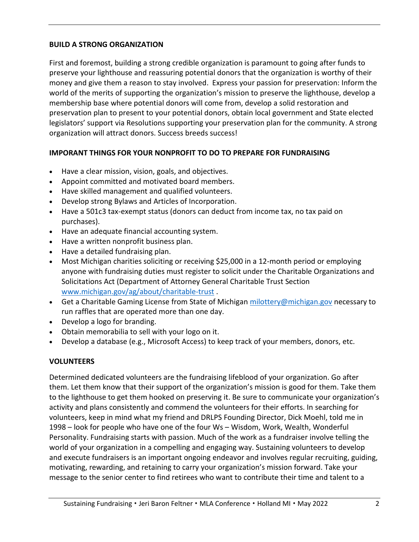# **BUILD A STRONG ORGANIZATION**

First and foremost, building a strong credible organization is paramount to going after funds to preserve your lighthouse and reassuring potential donors that the organization is worthy of their money and give them a reason to stay involved. Express your passion for preservation: Inform the world of the merits of supporting the organization's mission to preserve the lighthouse, develop a membership base where potential donors will come from, develop a solid restoration and preservation plan to present to your potential donors, obtain local government and State elected legislators' support via Resolutions supporting your preservation plan for the community. A strong organization will attract donors. Success breeds success!

## **IMPORANT THINGS FOR YOUR NONPROFIT TO DO TO PREPARE FOR FUNDRAISING**

- Have a clear mission, vision, goals, and objectives.
- Appoint committed and motivated board members.
- Have skilled management and qualified volunteers.
- Develop strong Bylaws and Articles of Incorporation.
- Have a 501c3 tax-exempt status (donors can deduct from income tax, no tax paid on purchases).
- Have an adequate financial accounting system.
- Have a written nonprofit business plan.
- Have a detailed fundraising plan.
- Most Michigan charities soliciting or receiving \$25,000 in a 12-month period or employing anyone with fundraising duties must register to solicit under the Charitable Organizations and Solicitations Act (Department of Attorney General Charitable Trust Section [www.michigan.gov/ag/about/charitable-trust](http://www.michigan.gov/ag/about/charitable-trust) .
- Get a Charitable Gaming License from State of Michigan [milottery@michigan.gov](mailto:milottery@michigan.gov) necessary to run raffles that are operated more than one day.
- Develop a logo for branding.
- Obtain memorabilia to sell with your logo on it.
- Develop a database (e.g., Microsoft Access) to keep track of your members, donors, etc.

## **VOLUNTEERS**

Determined dedicated volunteers are the fundraising lifeblood of your organization. Go after them. Let them know that their support of the organization's mission is good for them. Take them to the lighthouse to get them hooked on preserving it. Be sure to communicate your organization's activity and plans consistently and commend the volunteers for their efforts. In searching for volunteers, keep in mind what my friend and DRLPS Founding Director, Dick Moehl, told me in 1998 – look for people who have one of the four Ws – Wisdom, Work, Wealth, Wonderful Personality. Fundraising starts with passion. Much of the work as a fundraiser involve telling the world of your organization in a compelling and engaging way. Sustaining volunteers to develop and execute fundraisers is an important ongoing endeavor and involves regular recruiting, guiding, motivating, rewarding, and retaining to carry your organization's mission forward. Take your message to the senior center to find retirees who want to contribute their time and talent to a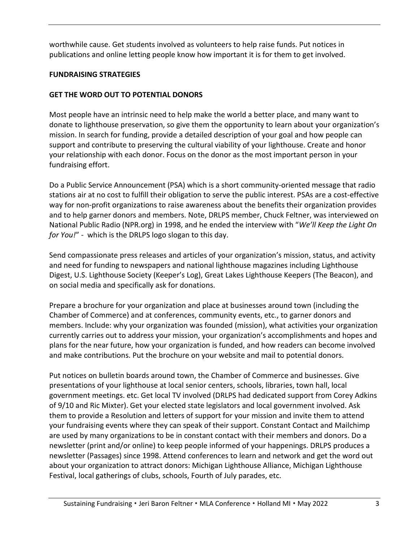worthwhile cause. Get students involved as volunteers to help raise funds. Put notices in publications and online letting people know how important it is for them to get involved.

# **FUNDRAISING STRATEGIES**

# **GET THE WORD OUT TO POTENTIAL DONORS**

Most people have an intrinsic need to help make the world a better place, and many want to donate to lighthouse preservation, so give them the opportunity to learn about your organization's mission. In search for funding, provide a detailed description of your goal and how people can support and contribute to preserving the cultural viability of your lighthouse. Create and honor your relationship with each donor. Focus on the donor as the most important person in your fundraising effort.

Do a Public Service Announcement (PSA) which is a short community-oriented message that radio stations air at no cost to fulfill their obligation to serve the public interest. PSAs are a cost-effective way for non-profit organizations to raise awareness about the benefits their organization provides and to help garner donors and members. Note, DRLPS member, Chuck Feltner, was interviewed on National Public Radio (NPR.org) in 1998, and he ended the interview with "*We'll Keep the Light On for You!*" - which is the DRLPS logo slogan to this day.

Send compassionate press releases and articles of your organization's mission, status, and activity and need for funding to newspapers and national lighthouse magazines including Lighthouse Digest, U.S. Lighthouse Society (Keeper's Log), Great Lakes Lighthouse Keepers (The Beacon), and on social media and specifically ask for donations.

Prepare a brochure for your organization and place at businesses around town (including the Chamber of Commerce) and at conferences, community events, etc., to garner donors and members. Include: why your organization was founded (mission), what activities your organization currently carries out to address your mission, your organization's accomplishments and hopes and plans for the near future, how your organization is funded, and how readers can become involved and make contributions. Put the brochure on your website and mail to potential donors.

Put notices on bulletin boards around town, the Chamber of Commerce and businesses. Give presentations of your lighthouse at local senior centers, schools, libraries, town hall, local government meetings. etc. Get local TV involved (DRLPS had dedicated support from Corey Adkins of 9/10 and Ric Mixter). Get your elected state legislators and local government involved. Ask them to provide a Resolution and letters of support for your mission and invite them to attend your fundraising events where they can speak of their support. Constant Contact and Mailchimp are used by many organizations to be in constant contact with their members and donors. Do a newsletter (print and/or online) to keep people informed of your happenings. DRLPS produces a newsletter (Passages) since 1998. Attend conferences to learn and network and get the word out about your organization to attract donors: Michigan Lighthouse Alliance, Michigan Lighthouse Festival, local gatherings of clubs, schools, Fourth of July parades, etc.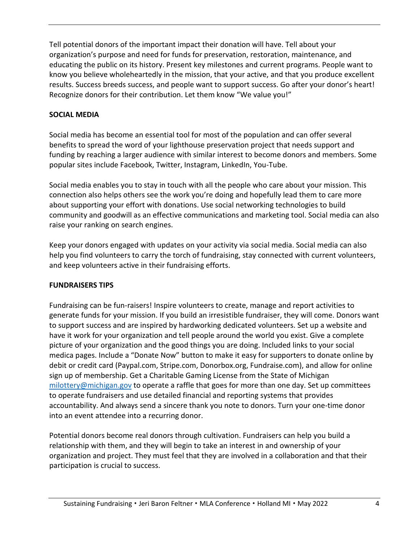Tell potential donors of the important impact their donation will have. Tell about your organization's purpose and need for funds for preservation, restoration, maintenance, and educating the public on its history. Present key milestones and current programs. People want to know you believe wholeheartedly in the mission, that your active, and that you produce excellent results. Success breeds success, and people want to support success. Go after your donor's heart! Recognize donors for their contribution. Let them know "We value you!"

# **SOCIAL MEDIA**

Social media has become an essential tool for most of the population and can offer several benefits to spread the word of your lighthouse preservation project that needs support and funding by reaching a larger audience with similar interest to become donors and members. Some popular sites include Facebook, Twitter, Instagram, LinkedIn, You-Tube.

Social media enables you to stay in touch with all the people who care about your mission. This connection also helps others see the work you're doing and hopefully lead them to care more about supporting your effort with donations. Use social networking technologies to build community and goodwill as an effective communications and marketing tool. Social media can also raise your ranking on search engines.

Keep your donors engaged with updates on your activity via social media. Social media can also help you find volunteers to carry the torch of fundraising, stay connected with current volunteers, and keep volunteers active in their fundraising efforts.

## **FUNDRAISERS TIPS**

Fundraising can be fun-raisers! Inspire volunteers to create, manage and report activities to generate funds for your mission. If you build an irresistible fundraiser, they will come. Donors want to support success and are inspired by hardworking dedicated volunteers. Set up a website and have it work for your organization and tell people around the world you exist. Give a complete picture of your organization and the good things you are doing. Included links to your social medica pages. Include a "Donate Now" button to make it easy for supporters to donate online by debit or credit card (Paypal.com, Stripe.com, Donorbox.org, Fundraise.com), and allow for online sign up of membership. Get a Charitable Gaming License from the State of Michigan [milottery@michigan.gov](mailto:milottery@michigan.gov) to operate a raffle that goes for more than one day. Set up committees to operate fundraisers and use detailed financial and reporting systems that provides accountability. And always send a sincere thank you note to donors. Turn your one-time donor into an event attendee into a recurring donor.

Potential donors become real donors through cultivation. Fundraisers can help you build a relationship with them, and they will begin to take an interest in and ownership of your organization and project. They must feel that they are involved in a collaboration and that their participation is crucial to success.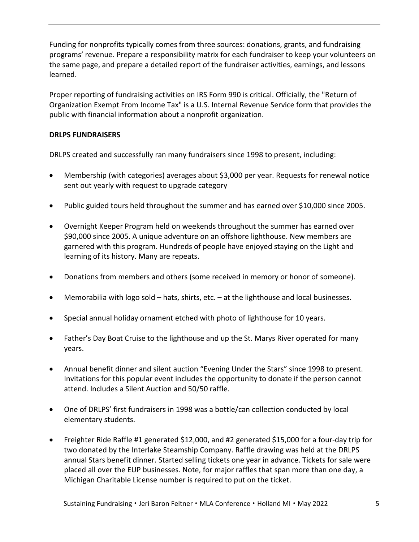Funding for nonprofits typically comes from three sources: donations, grants, and fundraising programs' revenue. Prepare a responsibility matrix for each fundraiser to keep your volunteers on the same page, and prepare a detailed report of the fundraiser activities, earnings, and lessons learned.

Proper reporting of fundraising activities on IRS Form 990 is critical. Officially, the "Return of Organization Exempt From Income Tax" is a U.S. [Internal Revenue Service form](https://en.wikipedia.org/wiki/IRS_tax_forms) that provides the public with financial information about a nonprofit organization.

# **DRLPS FUNDRAISERS**

DRLPS created and successfully ran many fundraisers since 1998 to present, including:

- Membership (with categories) averages about \$3,000 per year. Requests for renewal notice sent out yearly with request to upgrade category
- Public guided tours held throughout the summer and has earned over \$10,000 since 2005.
- Overnight Keeper Program held on weekends throughout the summer has earned over \$90,000 since 2005. A unique adventure on an offshore lighthouse. New members are garnered with this program. Hundreds of people have enjoyed staying on the Light and learning of its history. Many are repeats.
- Donations from members and others (some received in memory or honor of someone).
- Memorabilia with logo sold hats, shirts, etc. at the lighthouse and local businesses.
- Special annual holiday ornament etched with photo of lighthouse for 10 years.
- Father's Day Boat Cruise to the lighthouse and up the St. Marys River operated for many years.
- Annual benefit dinner and silent auction "Evening Under the Stars" since 1998 to present. Invitations for this popular event includes the opportunity to donate if the person cannot attend. Includes a Silent Auction and 50/50 raffle.
- One of DRLPS' first fundraisers in 1998 was a bottle/can collection conducted by local elementary students.
- Freighter Ride Raffle #1 generated \$12,000, and #2 generated \$15,000 for a four-day trip for two donated by the Interlake Steamship Company. Raffle drawing was held at the DRLPS annual Stars benefit dinner. Started selling tickets one year in advance. Tickets for sale were placed all over the EUP businesses. Note, for major raffles that span more than one day, a Michigan Charitable License number is required to put on the ticket.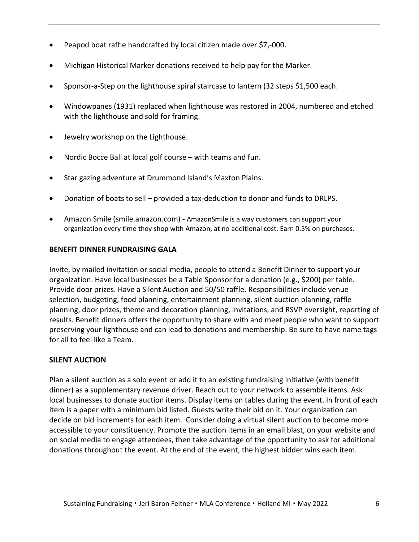- Peapod boat raffle handcrafted by local citizen made over \$7,-000.
- Michigan Historical Marker donations received to help pay for the Marker.
- Sponsor-a-Step on the lighthouse spiral staircase to lantern (32 steps \$1,500 each.
- Windowpanes (1931) replaced when lighthouse was restored in 2004, numbered and etched with the lighthouse and sold for framing.
- Jewelry workshop on the Lighthouse.
- Nordic Bocce Ball at local golf course with teams and fun.
- Star gazing adventure at Drummond Island's Maxton Plains.
- Donation of boats to sell provided a tax-deduction to donor and funds to DRLPS.
- Amazon Smile (smile.amazon.com) AmazonSmile is a way customers can support your organization every time they shop with Amazon, at no additional cost. Earn 0.5% on purchases.

### **BENEFIT DINNER FUNDRAISING GALA**

Invite, by mailed invitation or social media, people to attend a Benefit Dinner to support your organization. Have local businesses be a Table Sponsor for a donation (e.g., \$200) per table. Provide door prizes. Have a Silent Auction and 50/50 raffle. Responsibilities include venue selection, budgeting, food planning, entertainment planning, silent auction planning, raffle planning, door prizes, theme and decoration planning, invitations, and RSVP oversight, reporting of results. Benefit dinners offers the opportunity to share with and meet people who want to support preserving your lighthouse and can lead to donations and membership. Be sure to have name tags for all to feel like a Team.

## **SILENT AUCTION**

Plan a silent auction as a solo event or add it to an existing fundraising initiative (with benefit dinner) as a supplementary revenue driver. Reach out to your network to assemble items. Ask local businesses to donate auction items. Display items on tables during the event. In front of each item is a paper with a minimum bid listed. Guests write their bid on it. Your organization can decide on bid increments for each item. Consider doing a virtual silent auction to become more accessible to your constituency. Promote the auction items in an email blast, on your website and on social media to engage attendees, then take advantage of the opportunity to ask for additional donations throughout the event. At the end of the event, the highest bidder wins each item.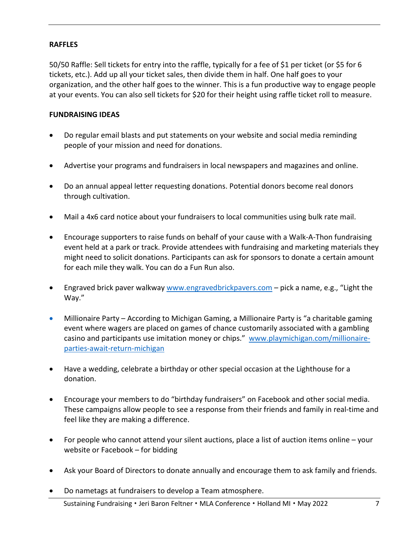### **RAFFLES**

50/50 Raffle: Sell tickets for entry into the raffle, typically for a fee of \$1 per ticket (or \$5 for 6 tickets, etc.). Add up all your ticket sales, then divide them in half. One half goes to your organization, and the other half goes to the winner. This is a fun productive way to engage people at your events. You can also sell tickets for \$20 for their height using raffle ticket roll to measure.

### **FUNDRAISING IDEAS**

- Do regular email blasts and put statements on your website and social media reminding people of your mission and need for donations.
- Advertise your programs and fundraisers in local newspapers and magazines and online.
- Do an annual appeal letter requesting donations. Potential donors become real donors through cultivation.
- Mail a 4x6 card notice about your fundraisers to local communities using bulk rate mail.
- Encourage supporters to raise funds on behalf of your cause with a Walk-A-Thon fundraising event held at a park or track. Provide attendees with fundraising and marketing materials they might need to solicit donations. Participants can ask for sponsors to donate a certain amount for each mile they walk. You can do a Fun Run also.
- Engraved brick paver walkway [www.engravedbrickpavers.com](http://www.engravedbrickpavers.com/)  pick a name, e.g., "Light the Way."
- Millionaire Party According to Michigan Gaming, a Millionaire Party is "a charitable gaming event where wagers are placed on games of chance customarily associated with a gambling casino and participants use imitation money or chips." [www.playmichigan.com/millionaire](http://www.playmichigan.com/millionaire-parties-await-return-michigan)[parties-await-return-michigan](http://www.playmichigan.com/millionaire-parties-await-return-michigan)
- Have a wedding, celebrate a birthday or other special occasion at the Lighthouse for a donation.
- Encourage your members to do "birthday fundraisers" on Facebook and other social media. These campaigns allow people to see a response from their friends and family in real-time and feel like they are making a difference.
- For people who cannot attend your silent auctions, place a list of auction items online your website or Facebook – for bidding
- Ask your Board of Directors to donate annually and encourage them to ask family and friends.
- Do nametags at fundraisers to develop a Team atmosphere.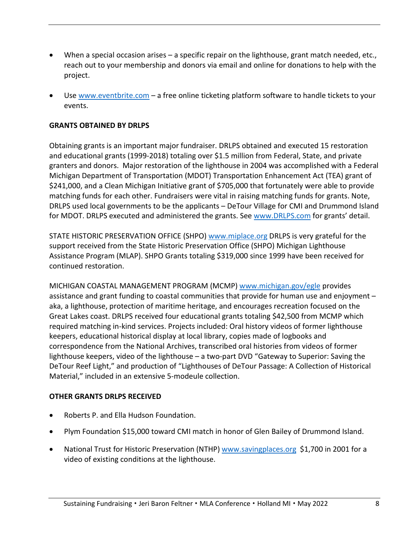- When a special occasion arises a specific repair on the lighthouse, grant match needed, etc., reach out to your membership and donors via email and online for donations to help with the project.
- Use [www.eventbrite.com](http://www.eventbrite.com/)  a free online ticketing platform software to handle tickets to your events.

## **GRANTS OBTAINED BY DRLPS**

Obtaining grants is an important major fundraiser. DRLPS obtained and executed 15 restoration and educational grants (1999-2018) totaling over \$1.5 million from Federal, State, and private granters and donors. Major restoration of the lighthouse in 2004 was accomplished with a Federal Michigan Department of Transportation (MDOT) Transportation Enhancement Act (TEA) grant of \$241,000, and a Clean Michigan Initiative grant of \$705,000 that fortunately were able to provide matching funds for each other. Fundraisers were vital in raising matching funds for grants. Note, DRLPS used local governments to be the applicants – DeTour Village for CMI and Drummond Island for MDOT. DRLPS executed and administered the grants. See [www.DRLPS.com](http://www.drlps.com/) for grants' detail.

STATE HISTORIC PRESERVATION OFFICE (SHPO) [www.miplace.org](http://www.miplace.org/) DRLPS is very grateful for the support received from the State Historic Preservation Office (SHPO) Michigan Lighthouse Assistance Program (MLAP). SHPO Grants totaling \$319,000 since 1999 have been received for continued restoration.

MICHIGAN COASTAL MANAGEMENT PROGRAM (MCMP) [www.michigan.gov/egle](http://www.michigan.gov/egle) provides assistance and grant funding to coastal communities that provide for human use and enjoyment – aka, a lighthouse, protection of maritime heritage, and encourages recreation focused on the Great Lakes coast. DRLPS received four educational grants totaling \$42,500 from MCMP which required matching in-kind services. Projects included: Oral history videos of former lighthouse keepers, educational historical display at local library, copies made of logbooks and correspondence from the National Archives, transcribed oral histories from videos of former lighthouse keepers, video of the lighthouse – a two-part DVD "Gateway to Superior: Saving the DeTour Reef Light," and production of "Lighthouses of DeTour Passage: A Collection of Historical Material," included in an extensive 5-modeule collection.

## **OTHER GRANTS DRLPS RECEIVED**

- Roberts P. and Ella Hudson Foundation.
- Plym Foundation \$15,000 toward CMI match in honor of Glen Bailey of Drummond Island.
- National Trust for Historic Preservation (NTHP) [www.savingplaces.org](http://www.savingplaces.org/) \$1,700 in 2001 for a video of existing conditions at the lighthouse.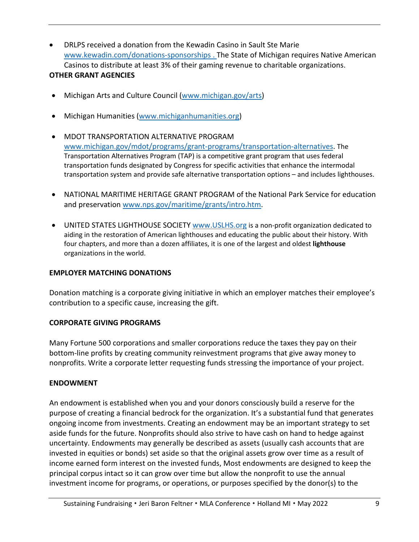- DRLPS received a donation from the Kewadin Casino in Sault Ste Marie [www.kewadin.com/donations-sponsorships](http://www.kewadin.com/donations-sponsorships) . The State of Michigan requires Native American Casinos to distribute at least 3% of their gaming revenue to charitable organizations. **OTHER GRANT AGENCIES**
- Michigan Arts and Culture Council [\(www.michigan.gov/arts\)](http://www.michigan.gov/arts)
- Michigan Humanities [\(www.michiganhumanities.org\)](http://www.michiganhumanities.org/)
- MDOT TRANSPORTATION ALTERNATIVE PROGRAM [www.michigan.gov/mdot/programs/grant-programs/transportation-alternatives.](http://www.michigan.gov/mdot/programs/grant-programs/transportation-alternatives) The Transportation Alternatives Program (TAP) is a competitive grant program that uses federal transportation funds designated by Congress for specific activities that enhance the intermodal transportation system and provide safe alternative transportation options – and includes lighthouses.
- NATIONAL MARITIME HERITAGE GRANT PROGRAM of the National Park Service for education and preservation [www.nps.gov/maritime/grants/intro.htm.](http://www.nps.gov/maritime/grants/intro.htm)
- UNITED STATES LIGHTHOUSE SOCIETY [www.USLHS.org](http://www.uslhs.org/) is a non-profit organization dedicated to aiding in the restoration of American lighthouses and educating the public about their history. With four chapters, and more than a dozen affiliates, it is one of the largest and oldest **lighthouse**  organizations in the world.

## **EMPLOYER MATCHING DONATIONS**

Donation matching is a corporate giving initiative in which an employer matches their employee's contribution to a specific cause, increasing the gift.

#### **CORPORATE GIVING PROGRAMS**

Many Fortune 500 corporations and smaller corporations reduce the taxes they pay on their bottom-line profits by creating community reinvestment programs that give away money to nonprofits. Write a corporate letter requesting funds stressing the importance of your project.

#### **ENDOWMENT**

An endowment is established when you and your donors consciously build a reserve for the purpose of creating a financial bedrock for the organization. It's a substantial fund that generates ongoing income from investments. Creating an endowment may be an important strategy to set aside funds for the future. Nonprofits should also strive to have cash on hand to hedge against uncertainty. Endowments may generally be described as assets (usually cash accounts that are invested in equities or bonds) set aside so that the original assets grow over time as a result of income earned form interest on the invested funds, Most endowments are designed to keep the principal corpus intact so it can grow over time but allow the nonprofit to use the annual investment income for programs, or operations, or purposes specified by the donor(s) to the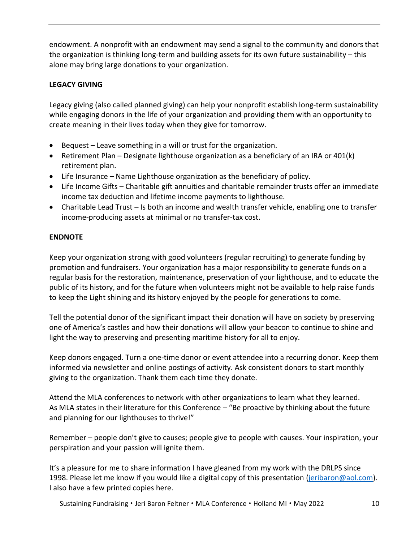endowment. A nonprofit with an endowment may send a signal to the community and donors that the organization is thinking long-term and building assets for its own future sustainability – this alone may bring large donations to your organization.

# **LEGACY GIVING**

Legacy giving (also called planned giving) can help your nonprofit establish long-term sustainability while engaging donors in the life of your organization and providing them with an opportunity to create meaning in their lives today when they give for tomorrow.

- Bequest Leave something in a will or trust for the organization.
- Retirement Plan Designate lighthouse organization as a beneficiary of an IRA or 401(k) retirement plan.
- Life Insurance Name Lighthouse organization as the beneficiary of policy.
- Life Income Gifts Charitable gift annuities and charitable remainder trusts offer an immediate income tax deduction and lifetime income payments to lighthouse.
- Charitable Lead Trust Is both an income and wealth transfer vehicle, enabling one to transfer income-producing assets at minimal or no transfer-tax cost.

# **ENDNOTE**

Keep your organization strong with good volunteers (regular recruiting) to generate funding by promotion and fundraisers. Your organization has a major responsibility to generate funds on a regular basis for the restoration, maintenance, preservation of your lighthouse, and to educate the public of its history, and for the future when volunteers might not be available to help raise funds to keep the Light shining and its history enjoyed by the people for generations to come.

Tell the potential donor of the significant impact their donation will have on society by preserving one of America's castles and how their donations will allow your beacon to continue to shine and light the way to preserving and presenting maritime history for all to enjoy.

Keep donors engaged. Turn a one-time donor or event attendee into a recurring donor. Keep them informed via newsletter and online postings of activity. Ask consistent donors to start monthly giving to the organization. Thank them each time they donate.

Attend the MLA conferences to network with other organizations to learn what they learned. As MLA states in their literature for this Conference – "Be proactive by thinking about the future and planning for our lighthouses to thrive!"

Remember – people don't give to causes; people give to people with causes. Your inspiration, your perspiration and your passion will ignite them.

It's a pleasure for me to share information I have gleaned from my work with the DRLPS since 1998. Please let me know if you would like a digital copy of this presentation [\(jeribaron@aol.com\)](mailto:jeribaron@aol.com). I also have a few printed copies here.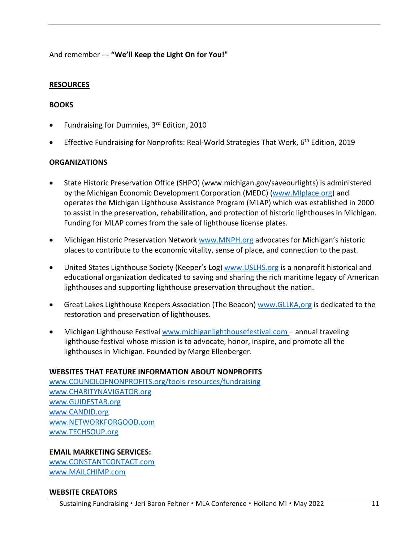## And remember --- **"We'll Keep the Light On for You!"**

### **RESOURCES**

#### **BOOKS**

- Fundraising for Dummies, 3rd Edition, 2010
- Effective Fundraising for Nonprofits: Real-World Strategies That Work,  $6<sup>th</sup>$  Edition, 2019

#### **ORGANIZATIONS**

- State Historic Preservation Office (SHPO) (www.michigan.gov/saveourlights) is administered by the Michigan Economic Development Corporation (MEDC) [\(www.MIplace.org\)](http://www.miplace.org/) and operates the Michigan Lighthouse Assistance Program (MLAP) which was established in 2000 to assist in the preservation, rehabilitation, and protection of historic lighthouses in Michigan. Funding for MLAP comes from the sale of lighthouse license plates.
- Michigan Historic Preservation Network [www.MNPH.org](http://www.mnph.org/) advocates for Michigan's historic places to contribute to the economic vitality, sense of place, and connection to the past.
- United States Lighthouse Society (Keeper's Log) [www.USLHS.org](http://www.uslhs.org/) is a nonprofit historical and educational organization dedicated to saving and sharing the rich maritime legacy of American lighthouses and supporting lighthouse preservation throughout the nation.
- Great Lakes Lighthouse Keepers Association (The Beacon) [www.GLLKA,org](http://www.gllka,org/) is dedicated to the restoration and preservation of lighthouses.
- Michigan Lighthouse Festival www.michiganlighthousefestival.com annual traveling lighthouse festival whose mission is to advocate, honor, inspire, and promote all the lighthouses in Michigan. Founded by Marge Ellenberger.

#### **WEBSITES THAT FEATURE INFORMATION ABOUT NONPROFITS**

[www.COUNCILOFNONPROFITS.org/tools-resources/fundraising](http://www.councilofnonprofits.org/tools-resources/fundraising) [www.CHARITYNAVIGATOR.org](http://www.charitynavigator.org/) [www.GUIDESTAR.org](http://www.guidestar.org/) [www.CANDID.org](http://www.candid.org/) [www.NETWORKFORGOOD.com](http://www.networkforgood.com/)  www.TECHSOUP.org

#### **EMAIL MARKETING SERVICES:**

[www.CONSTANTCONTACT.com](http://www.constantcontact.com/) [www.MAILCHIMP.com](http://www.mailchimp.com/) 

#### **WEBSITE CREATORS**